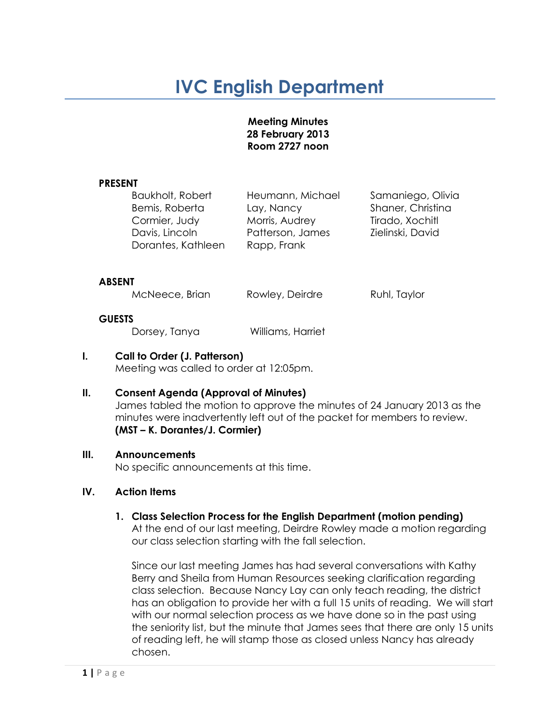# **IVC English Department**

#### **Meeting Minutes 28 February 2013 Room 2727 noon**

#### **PRESENT**

| Baukholt, Robert   | Heumann, Michael | Samaniego, Olivia |
|--------------------|------------------|-------------------|
| Bemis, Roberta     | Lay, Nancy       | Shaner, Christina |
| Cormier, Judy      | Morris, Audrey   | Tirado, Xochitl   |
| Davis, Lincoln     | Patterson, James | Zielinski, David  |
| Dorantes, Kathleen | Rapp, Frank      |                   |
|                    |                  |                   |

#### **ABSENT**

McNeece, Brian Rowley, Deirdre Ruhl, Taylor

#### **GUESTS**

Dorsey, Tanya Williams, Harriet

# **I. Call to Order (J. Patterson)**

Meeting was called to order at 12:05pm.

# **II. Consent Agenda (Approval of Minutes)**

James tabled the motion to approve the minutes of 24 January 2013 as the minutes were inadvertently left out of the packet for members to review. **(MST – K. Dorantes/J. Cormier)**

# **III. Announcements**

No specific announcements at this time.

# **IV. Action Items**

# **1. Class Selection Process for the English Department (motion pending)**

At the end of our last meeting, Deirdre Rowley made a motion regarding our class selection starting with the fall selection.

Since our last meeting James has had several conversations with Kathy Berry and Sheila from Human Resources seeking clarification regarding class selection. Because Nancy Lay can only teach reading, the district has an obligation to provide her with a full 15 units of reading. We will start with our normal selection process as we have done so in the past using the seniority list, but the minute that James sees that there are only 15 units of reading left, he will stamp those as closed unless Nancy has already chosen.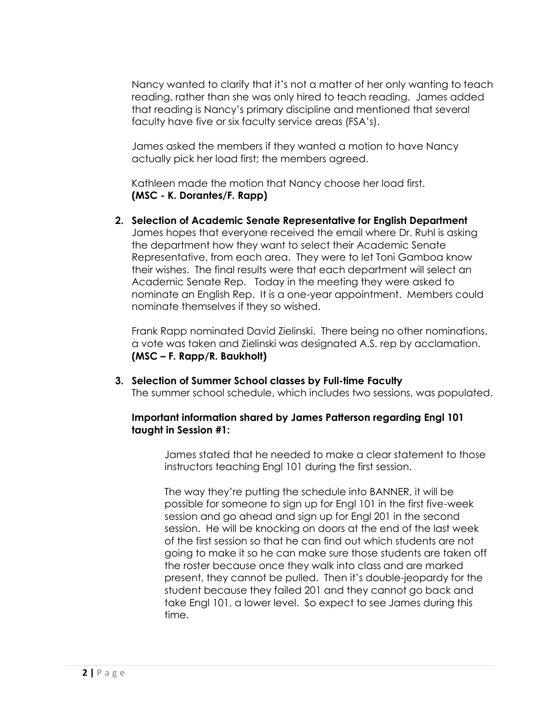Nancy wanted to clarify that it's not a matter of her only wanting to teach reading, rather than she was only hired to teach reading. James added that reading is Nancy's primary discipline and mentioned that several faculty have five or six faculty service areas (FSA's).

James asked the members if they wanted a motion to have Nancy actually pick her load first; the members agreed.

Kathleen made the motion that Nancy choose her load first. **(MSC - K. Dorantes/F. Rapp)** 

**2. Selection of Academic Senate Representative for English Department** James hopes that everyone received the email where Dr. Ruhl is asking the department how they want to select their Academic Senate Representative, from each area. They were to let Toni Gamboa know their wishes. The final results were that each department will select an Academic Senate Rep. Today in the meeting they were asked to nominate an English Rep. It is a one-year appointment. Members could nominate themselves if they so wished.

Frank Rapp nominated David Zielinski. There being no other nominations, a vote was taken and Zielinski was designated A.S. rep by acclamation. **(MSC – F. Rapp/R. Baukholt)**

**3. Selection of Summer School classes by Full-time Faculty** The summer school schedule, which includes two sessions, was populated.

# **Important information shared by James Patterson regarding Engl 101 taught in Session #1:**

James stated that he needed to make a clear statement to those instructors teaching Engl 101 during the first session.

The way they're putting the schedule into BANNER, it will be possible for someone to sign up for Engl 101 in the first five-week session and go ahead and sign up for Engl 201 in the second session. He will be knocking on doors at the end of the last week of the first session so that he can find out which students are not going to make it so he can make sure those students are taken off the roster because once they walk into class and are marked present, they cannot be pulled. Then it's double-jeopardy for the student because they failed 201 and they cannot go back and take Engl 101, a lower level. So expect to see James during this time.